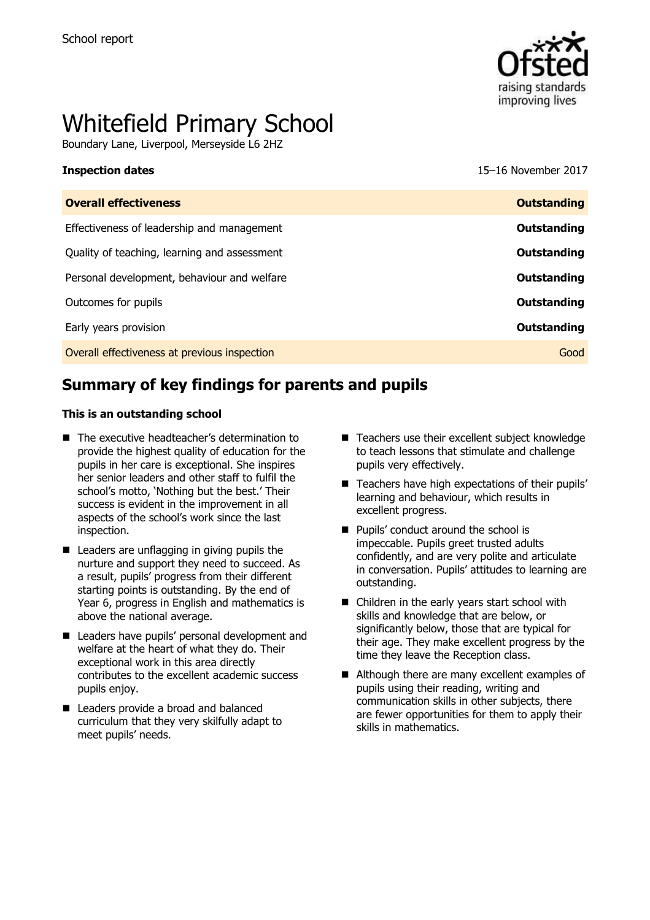

# Whitefield Primary School

Boundary Lane, Liverpool, Merseyside L6 2HZ

**Inspection dates** 15–16 November 2017

| <b>Overall effectiveness</b>                 | <b>Outstanding</b> |
|----------------------------------------------|--------------------|
| Effectiveness of leadership and management   | Outstanding        |
| Quality of teaching, learning and assessment | Outstanding        |
| Personal development, behaviour and welfare  | Outstanding        |
| Outcomes for pupils                          | Outstanding        |
| Early years provision                        | Outstanding        |
| Overall effectiveness at previous inspection | Good               |
|                                              |                    |

# **Summary of key findings for parents and pupils**

#### **This is an outstanding school**

- The executive headteacher's determination to provide the highest quality of education for the pupils in her care is exceptional. She inspires her senior leaders and other staff to fulfil the school's motto, 'Nothing but the best.' Their success is evident in the improvement in all aspects of the school's work since the last inspection.
- Leaders are unflagging in giving pupils the nurture and support they need to succeed. As a result, pupils' progress from their different starting points is outstanding. By the end of Year 6, progress in English and mathematics is above the national average.
- Leaders have pupils' personal development and welfare at the heart of what they do. Their exceptional work in this area directly contributes to the excellent academic success pupils enjoy.
- Leaders provide a broad and balanced curriculum that they very skilfully adapt to meet pupils' needs.
- Teachers use their excellent subject knowledge to teach lessons that stimulate and challenge pupils very effectively.
- $\blacksquare$  Teachers have high expectations of their pupils' learning and behaviour, which results in excellent progress.
- Pupils' conduct around the school is impeccable. Pupils greet trusted adults confidently, and are very polite and articulate in conversation. Pupils' attitudes to learning are outstanding.
- Children in the early years start school with skills and knowledge that are below, or significantly below, those that are typical for their age. They make excellent progress by the time they leave the Reception class.
- Although there are many excellent examples of pupils using their reading, writing and communication skills in other subjects, there are fewer opportunities for them to apply their skills in mathematics.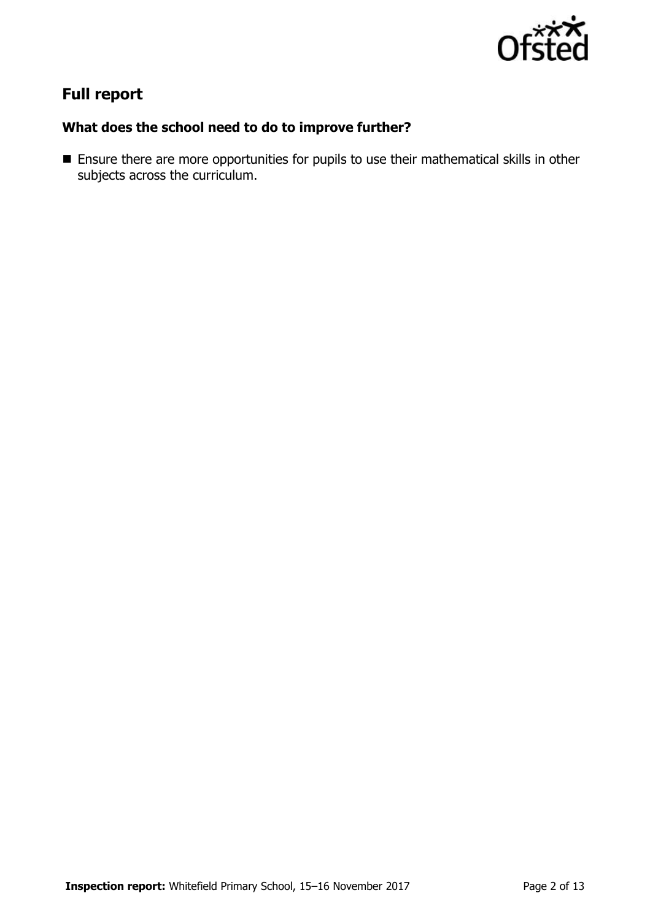

# **Full report**

## **What does the school need to do to improve further?**

 Ensure there are more opportunities for pupils to use their mathematical skills in other subjects across the curriculum.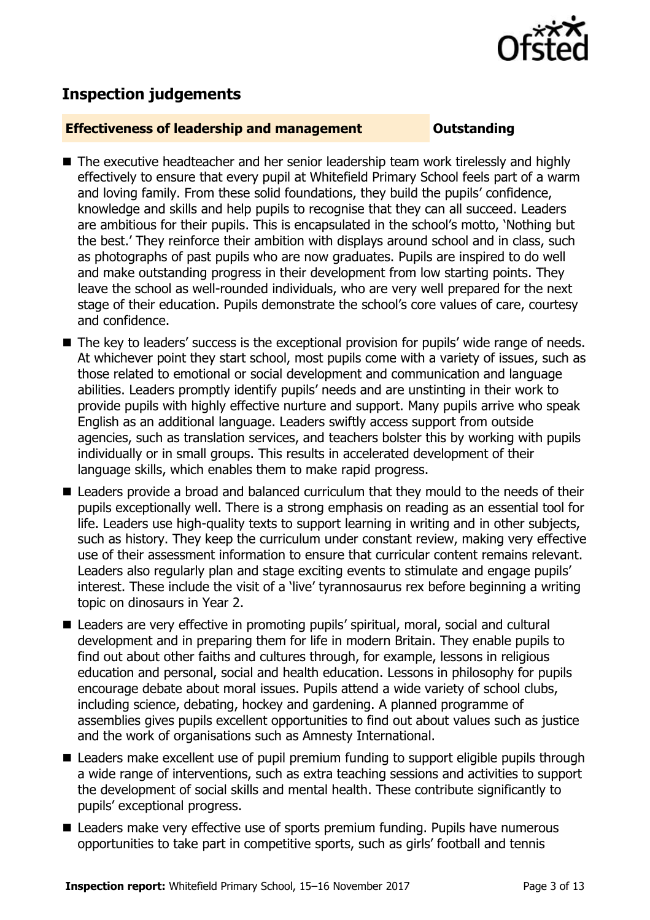

# **Inspection judgements**

#### **Effectiveness of leadership and management COULDER COULDER OUTSTANDING**

- The executive headteacher and her senior leadership team work tirelessly and highly effectively to ensure that every pupil at Whitefield Primary School feels part of a warm and loving family. From these solid foundations, they build the pupils' confidence, knowledge and skills and help pupils to recognise that they can all succeed. Leaders are ambitious for their pupils. This is encapsulated in the school's motto, 'Nothing but the best.' They reinforce their ambition with displays around school and in class, such as photographs of past pupils who are now graduates. Pupils are inspired to do well and make outstanding progress in their development from low starting points. They leave the school as well-rounded individuals, who are very well prepared for the next stage of their education. Pupils demonstrate the school's core values of care, courtesy and confidence.
- The key to leaders' success is the exceptional provision for pupils' wide range of needs. At whichever point they start school, most pupils come with a variety of issues, such as those related to emotional or social development and communication and language abilities. Leaders promptly identify pupils' needs and are unstinting in their work to provide pupils with highly effective nurture and support. Many pupils arrive who speak English as an additional language. Leaders swiftly access support from outside agencies, such as translation services, and teachers bolster this by working with pupils individually or in small groups. This results in accelerated development of their language skills, which enables them to make rapid progress.
- Leaders provide a broad and balanced curriculum that they mould to the needs of their pupils exceptionally well. There is a strong emphasis on reading as an essential tool for life. Leaders use high-quality texts to support learning in writing and in other subjects, such as history. They keep the curriculum under constant review, making very effective use of their assessment information to ensure that curricular content remains relevant. Leaders also regularly plan and stage exciting events to stimulate and engage pupils' interest. These include the visit of a 'live' tyrannosaurus rex before beginning a writing topic on dinosaurs in Year 2.
- Leaders are very effective in promoting pupils' spiritual, moral, social and cultural development and in preparing them for life in modern Britain. They enable pupils to find out about other faiths and cultures through, for example, lessons in religious education and personal, social and health education. Lessons in philosophy for pupils encourage debate about moral issues. Pupils attend a wide variety of school clubs, including science, debating, hockey and gardening. A planned programme of assemblies gives pupils excellent opportunities to find out about values such as justice and the work of organisations such as Amnesty International.
- Leaders make excellent use of pupil premium funding to support eligible pupils through a wide range of interventions, such as extra teaching sessions and activities to support the development of social skills and mental health. These contribute significantly to pupils' exceptional progress.
- Leaders make very effective use of sports premium funding. Pupils have numerous opportunities to take part in competitive sports, such as girls' football and tennis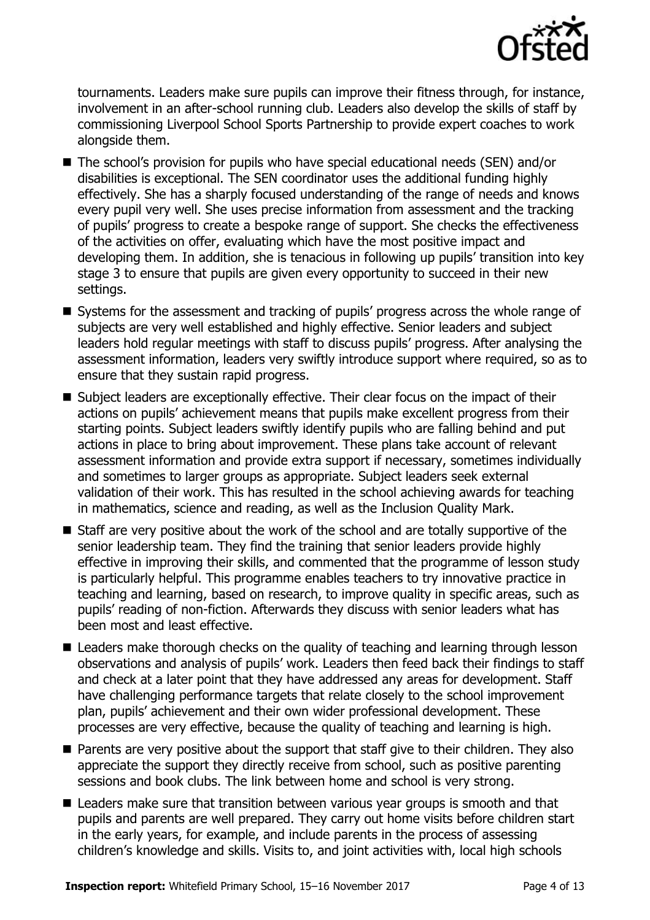

tournaments. Leaders make sure pupils can improve their fitness through, for instance, involvement in an after-school running club. Leaders also develop the skills of staff by commissioning Liverpool School Sports Partnership to provide expert coaches to work alongside them.

- The school's provision for pupils who have special educational needs (SEN) and/or disabilities is exceptional. The SEN coordinator uses the additional funding highly effectively. She has a sharply focused understanding of the range of needs and knows every pupil very well. She uses precise information from assessment and the tracking of pupils' progress to create a bespoke range of support. She checks the effectiveness of the activities on offer, evaluating which have the most positive impact and developing them. In addition, she is tenacious in following up pupils' transition into key stage 3 to ensure that pupils are given every opportunity to succeed in their new settings.
- Systems for the assessment and tracking of pupils' progress across the whole range of subjects are very well established and highly effective. Senior leaders and subject leaders hold regular meetings with staff to discuss pupils' progress. After analysing the assessment information, leaders very swiftly introduce support where required, so as to ensure that they sustain rapid progress.
- Subject leaders are exceptionally effective. Their clear focus on the impact of their actions on pupils' achievement means that pupils make excellent progress from their starting points. Subject leaders swiftly identify pupils who are falling behind and put actions in place to bring about improvement. These plans take account of relevant assessment information and provide extra support if necessary, sometimes individually and sometimes to larger groups as appropriate. Subject leaders seek external validation of their work. This has resulted in the school achieving awards for teaching in mathematics, science and reading, as well as the Inclusion Quality Mark.
- $\blacksquare$  Staff are very positive about the work of the school and are totally supportive of the senior leadership team. They find the training that senior leaders provide highly effective in improving their skills, and commented that the programme of lesson study is particularly helpful. This programme enables teachers to try innovative practice in teaching and learning, based on research, to improve quality in specific areas, such as pupils' reading of non-fiction. Afterwards they discuss with senior leaders what has been most and least effective.
- Leaders make thorough checks on the quality of teaching and learning through lesson observations and analysis of pupils' work. Leaders then feed back their findings to staff and check at a later point that they have addressed any areas for development. Staff have challenging performance targets that relate closely to the school improvement plan, pupils' achievement and their own wider professional development. These processes are very effective, because the quality of teaching and learning is high.
- **Parents are very positive about the support that staff give to their children. They also** appreciate the support they directly receive from school, such as positive parenting sessions and book clubs. The link between home and school is very strong.
- Leaders make sure that transition between various year groups is smooth and that pupils and parents are well prepared. They carry out home visits before children start in the early years, for example, and include parents in the process of assessing children's knowledge and skills. Visits to, and joint activities with, local high schools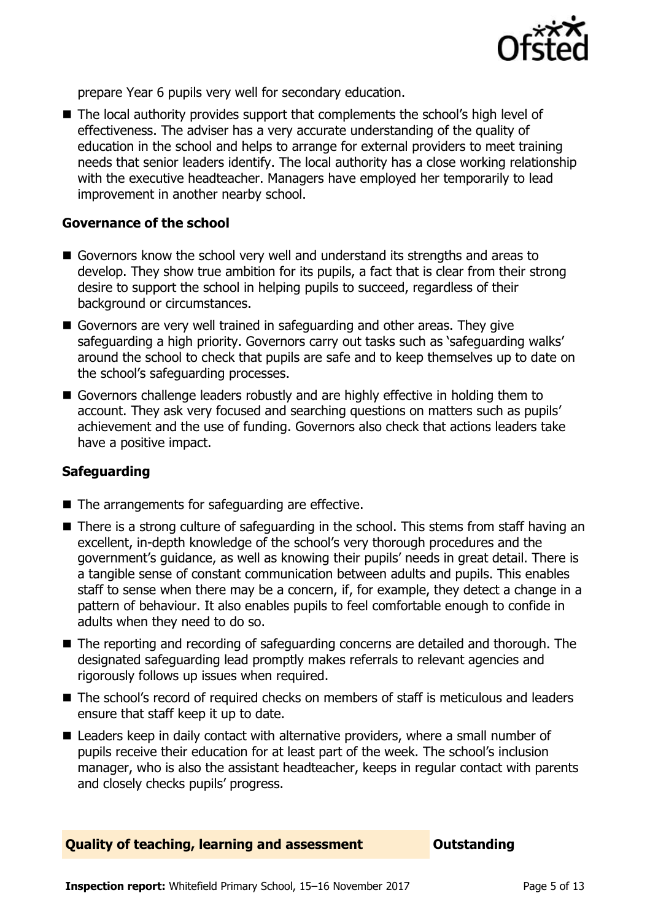

prepare Year 6 pupils very well for secondary education.

■ The local authority provides support that complements the school's high level of effectiveness. The adviser has a very accurate understanding of the quality of education in the school and helps to arrange for external providers to meet training needs that senior leaders identify. The local authority has a close working relationship with the executive headteacher. Managers have employed her temporarily to lead improvement in another nearby school.

#### **Governance of the school**

- Governors know the school very well and understand its strengths and areas to develop. They show true ambition for its pupils, a fact that is clear from their strong desire to support the school in helping pupils to succeed, regardless of their background or circumstances.
- Governors are very well trained in safeguarding and other areas. They give safeguarding a high priority. Governors carry out tasks such as 'safeguarding walks' around the school to check that pupils are safe and to keep themselves up to date on the school's safeguarding processes.
- Governors challenge leaders robustly and are highly effective in holding them to account. They ask very focused and searching questions on matters such as pupils' achievement and the use of funding. Governors also check that actions leaders take have a positive impact.

### **Safeguarding**

- The arrangements for safeguarding are effective.
- There is a strong culture of safeguarding in the school. This stems from staff having an excellent, in-depth knowledge of the school's very thorough procedures and the government's guidance, as well as knowing their pupils' needs in great detail. There is a tangible sense of constant communication between adults and pupils. This enables staff to sense when there may be a concern, if, for example, they detect a change in a pattern of behaviour. It also enables pupils to feel comfortable enough to confide in adults when they need to do so.
- The reporting and recording of safeguarding concerns are detailed and thorough. The designated safeguarding lead promptly makes referrals to relevant agencies and rigorously follows up issues when required.
- The school's record of required checks on members of staff is meticulous and leaders ensure that staff keep it up to date.
- Leaders keep in daily contact with alternative providers, where a small number of pupils receive their education for at least part of the week. The school's inclusion manager, who is also the assistant headteacher, keeps in regular contact with parents and closely checks pupils' progress.

#### **Quality of teaching, learning and assessment <b>Caucalian** Outstanding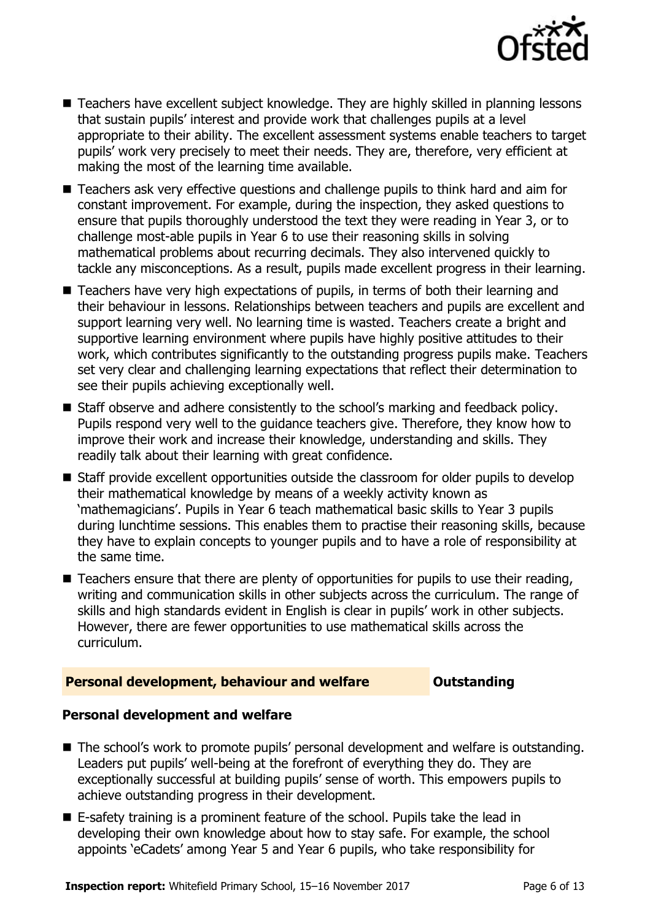

- Teachers have excellent subject knowledge. They are highly skilled in planning lessons that sustain pupils' interest and provide work that challenges pupils at a level appropriate to their ability. The excellent assessment systems enable teachers to target pupils' work very precisely to meet their needs. They are, therefore, very efficient at making the most of the learning time available.
- Teachers ask very effective questions and challenge pupils to think hard and aim for constant improvement. For example, during the inspection, they asked questions to ensure that pupils thoroughly understood the text they were reading in Year 3, or to challenge most-able pupils in Year 6 to use their reasoning skills in solving mathematical problems about recurring decimals. They also intervened quickly to tackle any misconceptions. As a result, pupils made excellent progress in their learning.
- Teachers have very high expectations of pupils, in terms of both their learning and their behaviour in lessons. Relationships between teachers and pupils are excellent and support learning very well. No learning time is wasted. Teachers create a bright and supportive learning environment where pupils have highly positive attitudes to their work, which contributes significantly to the outstanding progress pupils make. Teachers set very clear and challenging learning expectations that reflect their determination to see their pupils achieving exceptionally well.
- Staff observe and adhere consistently to the school's marking and feedback policy. Pupils respond very well to the guidance teachers give. Therefore, they know how to improve their work and increase their knowledge, understanding and skills. They readily talk about their learning with great confidence.
- Staff provide excellent opportunities outside the classroom for older pupils to develop their mathematical knowledge by means of a weekly activity known as 'mathemagicians'. Pupils in Year 6 teach mathematical basic skills to Year 3 pupils during lunchtime sessions. This enables them to practise their reasoning skills, because they have to explain concepts to younger pupils and to have a role of responsibility at the same time.
- $\blacksquare$  Teachers ensure that there are plenty of opportunities for pupils to use their reading, writing and communication skills in other subjects across the curriculum. The range of skills and high standards evident in English is clear in pupils' work in other subjects. However, there are fewer opportunities to use mathematical skills across the curriculum.

#### **Personal development, behaviour and welfare <b>COUNG COULTS** Outstanding

#### **Personal development and welfare**

- The school's work to promote pupils' personal development and welfare is outstanding. Leaders put pupils' well-being at the forefront of everything they do. They are exceptionally successful at building pupils' sense of worth. This empowers pupils to achieve outstanding progress in their development.
- E-safety training is a prominent feature of the school. Pupils take the lead in developing their own knowledge about how to stay safe. For example, the school appoints 'eCadets' among Year 5 and Year 6 pupils, who take responsibility for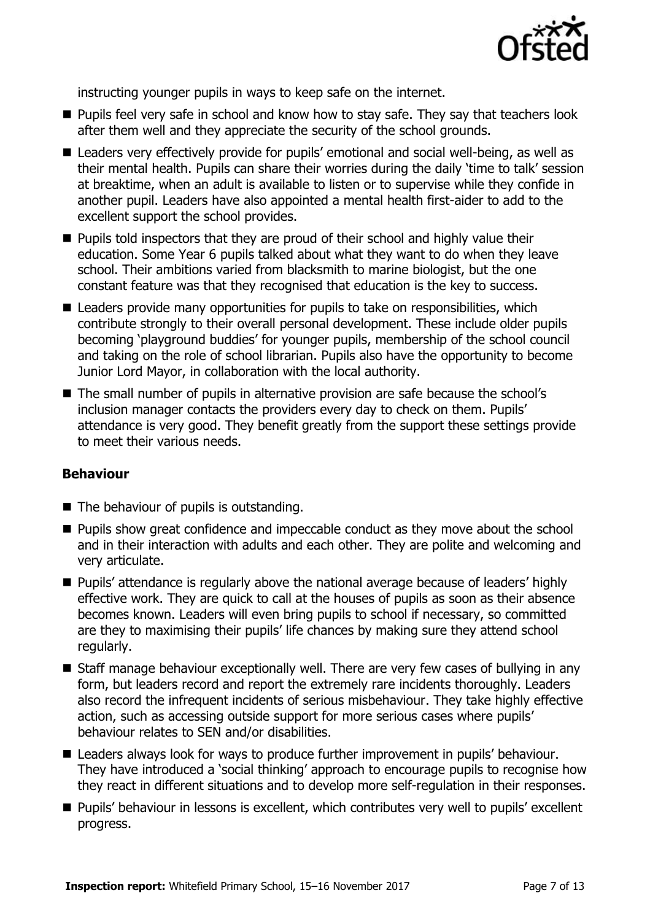

instructing younger pupils in ways to keep safe on the internet.

- **Pupils feel very safe in school and know how to stay safe. They say that teachers look** after them well and they appreciate the security of the school grounds.
- Leaders very effectively provide for pupils' emotional and social well-being, as well as their mental health. Pupils can share their worries during the daily 'time to talk' session at breaktime, when an adult is available to listen or to supervise while they confide in another pupil. Leaders have also appointed a mental health first-aider to add to the excellent support the school provides.
- **Pupils told inspectors that they are proud of their school and highly value their** education. Some Year 6 pupils talked about what they want to do when they leave school. Their ambitions varied from blacksmith to marine biologist, but the one constant feature was that they recognised that education is the key to success.
- Leaders provide many opportunities for pupils to take on responsibilities, which contribute strongly to their overall personal development. These include older pupils becoming 'playground buddies' for younger pupils, membership of the school council and taking on the role of school librarian. Pupils also have the opportunity to become Junior Lord Mayor, in collaboration with the local authority.
- The small number of pupils in alternative provision are safe because the school's inclusion manager contacts the providers every day to check on them. Pupils' attendance is very good. They benefit greatly from the support these settings provide to meet their various needs.

### **Behaviour**

- The behaviour of pupils is outstanding.
- **Pupils show great confidence and impeccable conduct as they move about the school** and in their interaction with adults and each other. They are polite and welcoming and very articulate.
- **Pupils' attendance is regularly above the national average because of leaders' highly** effective work. They are quick to call at the houses of pupils as soon as their absence becomes known. Leaders will even bring pupils to school if necessary, so committed are they to maximising their pupils' life chances by making sure they attend school regularly.
- Staff manage behaviour exceptionally well. There are very few cases of bullying in any form, but leaders record and report the extremely rare incidents thoroughly. Leaders also record the infrequent incidents of serious misbehaviour. They take highly effective action, such as accessing outside support for more serious cases where pupils' behaviour relates to SEN and/or disabilities.
- Leaders always look for ways to produce further improvement in pupils' behaviour. They have introduced a 'social thinking' approach to encourage pupils to recognise how they react in different situations and to develop more self-regulation in their responses.
- **Pupils' behaviour in lessons is excellent, which contributes very well to pupils' excellent** progress.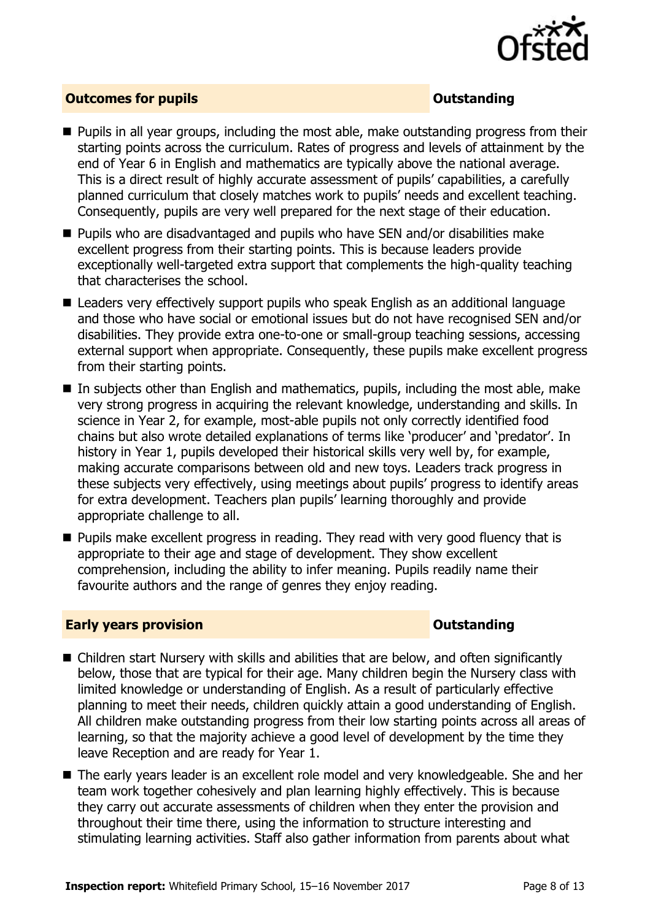

### **Outcomes for pupils Outstanding**

- **Pupils in all year groups, including the most able, make outstanding progress from their** starting points across the curriculum. Rates of progress and levels of attainment by the end of Year 6 in English and mathematics are typically above the national average. This is a direct result of highly accurate assessment of pupils' capabilities, a carefully planned curriculum that closely matches work to pupils' needs and excellent teaching. Consequently, pupils are very well prepared for the next stage of their education.
- **Pupils who are disadvantaged and pupils who have SEN and/or disabilities make** excellent progress from their starting points. This is because leaders provide exceptionally well-targeted extra support that complements the high-quality teaching that characterises the school.
- Leaders very effectively support pupils who speak English as an additional language and those who have social or emotional issues but do not have recognised SEN and/or disabilities. They provide extra one-to-one or small-group teaching sessions, accessing external support when appropriate. Consequently, these pupils make excellent progress from their starting points.
- $\blacksquare$  In subjects other than English and mathematics, pupils, including the most able, make very strong progress in acquiring the relevant knowledge, understanding and skills. In science in Year 2, for example, most-able pupils not only correctly identified food chains but also wrote detailed explanations of terms like 'producer' and 'predator'. In history in Year 1, pupils developed their historical skills very well by, for example, making accurate comparisons between old and new toys. Leaders track progress in these subjects very effectively, using meetings about pupils' progress to identify areas for extra development. Teachers plan pupils' learning thoroughly and provide appropriate challenge to all.
- **Pupils make excellent progress in reading. They read with very good fluency that is** appropriate to their age and stage of development. They show excellent comprehension, including the ability to infer meaning. Pupils readily name their favourite authors and the range of genres they enjoy reading.

#### **Early years provision CONSTANDING TO A RESEARCH CONSTANDING TO A RESEARCH CONSTANDING TO A RESEARCH CONSTANDING TO A RESEARCH CONSTANDING TO A RESEARCH CONSTANDING TO A RESEARCH CONSTANDING TO A RESEARCH CONSTANDING TO**

- Children start Nursery with skills and abilities that are below, and often significantly below, those that are typical for their age. Many children begin the Nursery class with limited knowledge or understanding of English. As a result of particularly effective planning to meet their needs, children quickly attain a good understanding of English. All children make outstanding progress from their low starting points across all areas of learning, so that the majority achieve a good level of development by the time they leave Reception and are ready for Year 1.
- The early years leader is an excellent role model and very knowledgeable. She and her team work together cohesively and plan learning highly effectively. This is because they carry out accurate assessments of children when they enter the provision and throughout their time there, using the information to structure interesting and stimulating learning activities. Staff also gather information from parents about what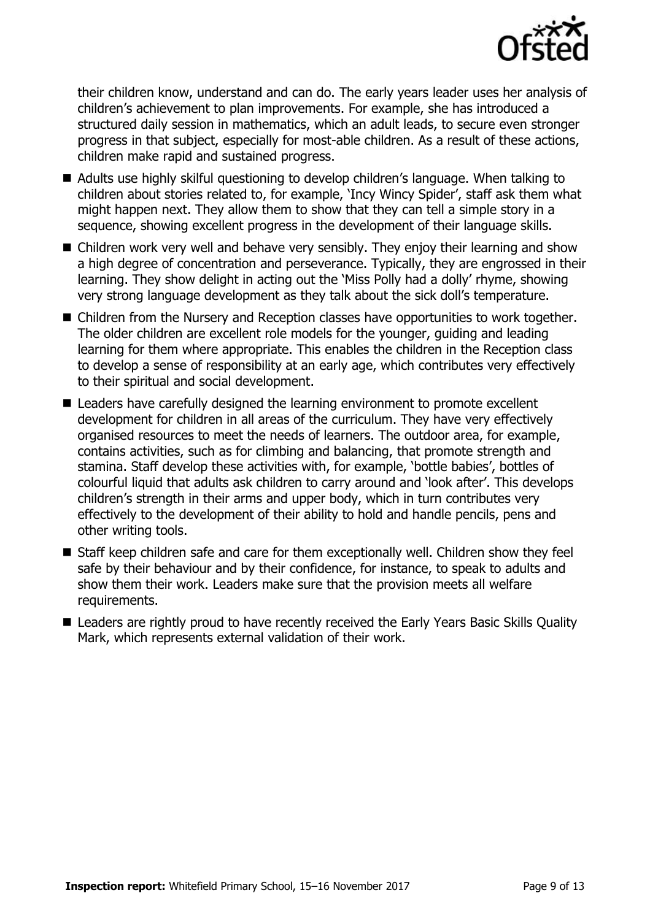

their children know, understand and can do. The early years leader uses her analysis of children's achievement to plan improvements. For example, she has introduced a structured daily session in mathematics, which an adult leads, to secure even stronger progress in that subject, especially for most-able children. As a result of these actions, children make rapid and sustained progress.

- Adults use highly skilful questioning to develop children's language. When talking to children about stories related to, for example, 'Incy Wincy Spider', staff ask them what might happen next. They allow them to show that they can tell a simple story in a sequence, showing excellent progress in the development of their language skills.
- Children work very well and behave very sensibly. They enjoy their learning and show a high degree of concentration and perseverance. Typically, they are engrossed in their learning. They show delight in acting out the 'Miss Polly had a dolly' rhyme, showing very strong language development as they talk about the sick doll's temperature.
- Children from the Nursery and Reception classes have opportunities to work together. The older children are excellent role models for the younger, guiding and leading learning for them where appropriate. This enables the children in the Reception class to develop a sense of responsibility at an early age, which contributes very effectively to their spiritual and social development.
- Leaders have carefully designed the learning environment to promote excellent development for children in all areas of the curriculum. They have very effectively organised resources to meet the needs of learners. The outdoor area, for example, contains activities, such as for climbing and balancing, that promote strength and stamina. Staff develop these activities with, for example, 'bottle babies', bottles of colourful liquid that adults ask children to carry around and 'look after'. This develops children's strength in their arms and upper body, which in turn contributes very effectively to the development of their ability to hold and handle pencils, pens and other writing tools.
- Staff keep children safe and care for them exceptionally well. Children show they feel safe by their behaviour and by their confidence, for instance, to speak to adults and show them their work. Leaders make sure that the provision meets all welfare requirements.
- Leaders are rightly proud to have recently received the Early Years Basic Skills Quality Mark, which represents external validation of their work.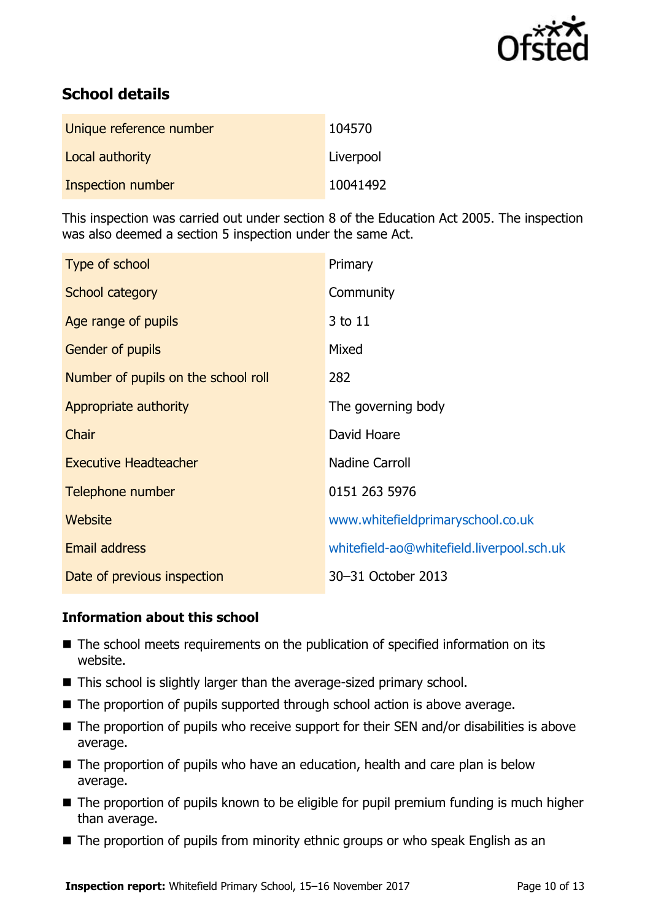

# **School details**

| Unique reference number | 104570    |
|-------------------------|-----------|
| Local authority         | Liverpool |
| Inspection number       | 10041492  |

This inspection was carried out under section 8 of the Education Act 2005. The inspection was also deemed a section 5 inspection under the same Act.

| Type of school                      | Primary                                   |
|-------------------------------------|-------------------------------------------|
| School category                     | Community                                 |
| Age range of pupils                 | 3 to 11                                   |
| Gender of pupils                    | Mixed                                     |
| Number of pupils on the school roll | 282                                       |
| Appropriate authority               | The governing body                        |
| Chair                               | David Hoare                               |
| <b>Executive Headteacher</b>        | <b>Nadine Carroll</b>                     |
| Telephone number                    | 0151 263 5976                             |
| <b>Website</b>                      | www.whitefieldprimaryschool.co.uk         |
| Email address                       | whitefield-ao@whitefield.liverpool.sch.uk |
| Date of previous inspection         | 30-31 October 2013                        |

### **Information about this school**

- The school meets requirements on the publication of specified information on its website.
- This school is slightly larger than the average-sized primary school.
- The proportion of pupils supported through school action is above average.
- The proportion of pupils who receive support for their SEN and/or disabilities is above average.
- The proportion of pupils who have an education, health and care plan is below average.
- The proportion of pupils known to be eligible for pupil premium funding is much higher than average.
- The proportion of pupils from minority ethnic groups or who speak English as an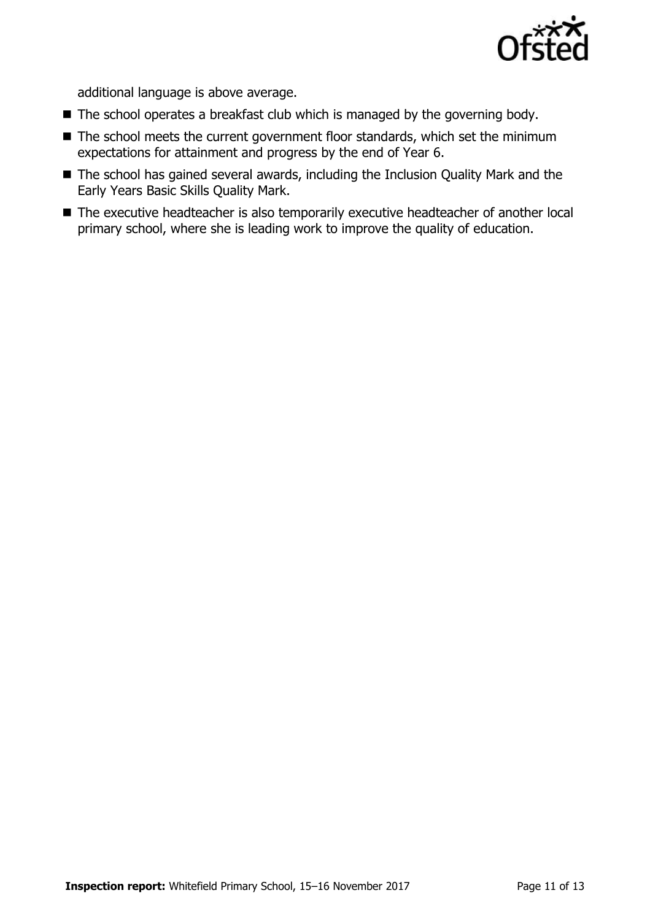

additional language is above average.

- $\blacksquare$  The school operates a breakfast club which is managed by the governing body.
- The school meets the current government floor standards, which set the minimum expectations for attainment and progress by the end of Year 6.
- The school has gained several awards, including the Inclusion Quality Mark and the Early Years Basic Skills Quality Mark.
- The executive headteacher is also temporarily executive headteacher of another local primary school, where she is leading work to improve the quality of education.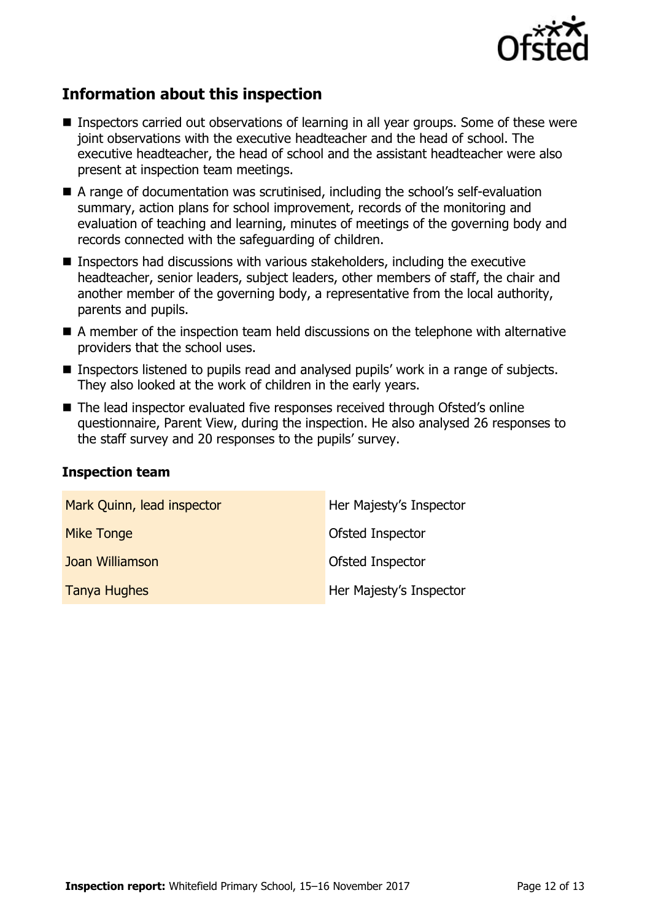

# **Information about this inspection**

- Inspectors carried out observations of learning in all year groups. Some of these were joint observations with the executive headteacher and the head of school. The executive headteacher, the head of school and the assistant headteacher were also present at inspection team meetings.
- A range of documentation was scrutinised, including the school's self-evaluation summary, action plans for school improvement, records of the monitoring and evaluation of teaching and learning, minutes of meetings of the governing body and records connected with the safeguarding of children.
- Inspectors had discussions with various stakeholders, including the executive headteacher, senior leaders, subject leaders, other members of staff, the chair and another member of the governing body, a representative from the local authority, parents and pupils.
- A member of the inspection team held discussions on the telephone with alternative providers that the school uses.
- Inspectors listened to pupils read and analysed pupils' work in a range of subjects. They also looked at the work of children in the early years.
- The lead inspector evaluated five responses received through Ofsted's online questionnaire, Parent View, during the inspection. He also analysed 26 responses to the staff survey and 20 responses to the pupils' survey.

#### **Inspection team**

| Mark Quinn, lead inspector | Her Majesty's Inspector |
|----------------------------|-------------------------|
| <b>Mike Tonge</b>          | Ofsted Inspector        |
| Joan Williamson            | Ofsted Inspector        |
| <b>Tanya Hughes</b>        | Her Majesty's Inspector |